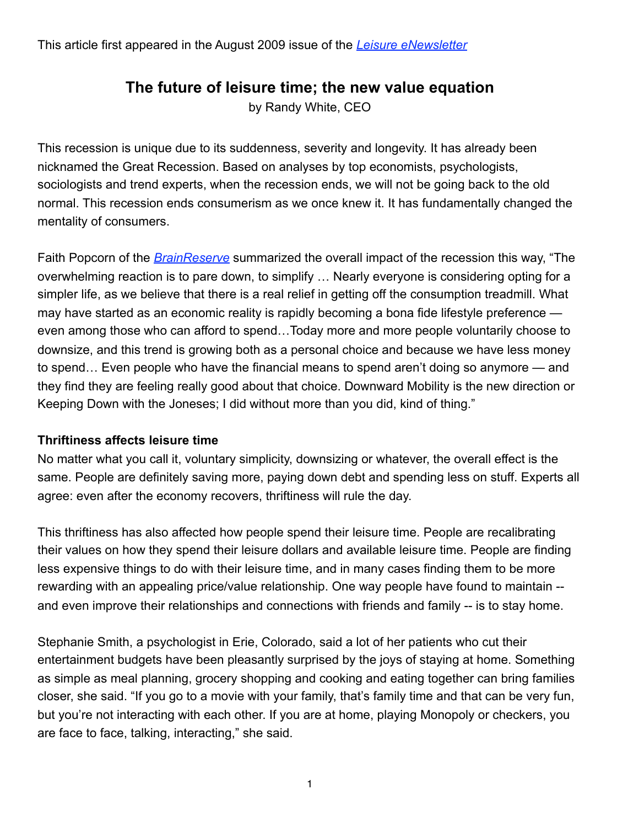# **The future of leisure time; the new value equation**

by Randy White, CEO

This recession is unique due to its suddenness, severity and longevity. It has already been nicknamed the Great Recession. Based on analyses by top economists, psychologists, sociologists and trend experts, when the recession ends, we will not be going back to the old normal. This recession ends consumerism as we once knew it. It has fundamentally changed the mentality of consumers.

Faith Popcorn of the *[BrainReserve](http://www.faithpopcorn.com/)* summarized the overall impact of the recession this way, "The overwhelming reaction is to pare down, to simplify … Nearly everyone is considering opting for a simpler life, as we believe that there is a real relief in getting off the consumption treadmill. What may have started as an economic reality is rapidly becoming a bona fide lifestyle preference even among those who can afford to spend…Today more and more people voluntarily choose to downsize, and this trend is growing both as a personal choice and because we have less money to spend… Even people who have the financial means to spend aren't doing so anymore — and they find they are feeling really good about that choice. Downward Mobility is the new direction or Keeping Down with the Joneses; I did without more than you did, kind of thing."

#### **Thriftiness affects leisure time**

No matter what you call it, voluntary simplicity, downsizing or whatever, the overall effect is the same. People are definitely saving more, paying down debt and spending less on stuff. Experts all agree: even after the economy recovers, thriftiness will rule the day.

This thriftiness has also affected how people spend their leisure time. People are recalibrating their values on how they spend their leisure dollars and available leisure time. People are finding less expensive things to do with their leisure time, and in many cases finding them to be more rewarding with an appealing price/value relationship. One way people have found to maintain - and even improve their relationships and connections with friends and family -- is to stay home.

Stephanie Smith, a psychologist in Erie, Colorado, said a lot of her patients who cut their entertainment budgets have been pleasantly surprised by the joys of staying at home. Something as simple as meal planning, grocery shopping and cooking and eating together can bring families closer, she said. "If you go to a movie with your family, that's family time and that can be very fun, but you're not interacting with each other. If you are at home, playing Monopoly or checkers, you are face to face, talking, interacting," she said.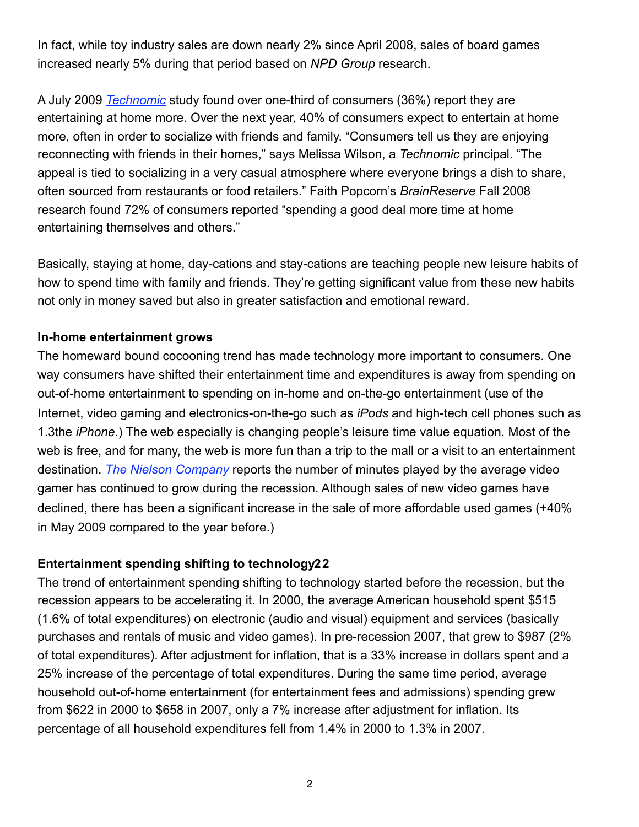In fact, while toy industry sales are down nearly 2% since April 2008, sales of board games increased nearly 5% during that period based on *NPD Group* research.

A July 2009 *[Technomic](http://www.technomic.com/home_content.html)* study found over one-third of consumers (36%) report they are entertaining at home more. Over the next year, 40% of consumers expect to entertain at home more, often in order to socialize with friends and family. "Consumers tell us they are enjoying reconnecting with friends in their homes," says Melissa Wilson, a *Technomic* principal. "The appeal is tied to socializing in a very casual atmosphere where everyone brings a dish to share, often sourced from restaurants or food retailers." Faith Popcorn's *BrainReserve* Fall 2008 research found 72% of consumers reported "spending a good deal more time at home entertaining themselves and others."

Basically, staying at home, day-cations and stay-cations are teaching people new leisure habits of how to spend time with family and friends. They're getting significant value from these new habits not only in money saved but also in greater satisfaction and emotional reward.

#### **In-home entertainment grows**

The homeward bound cocooning trend has made technology more important to consumers. One way consumers have shifted their entertainment time and expenditures is away from spending on out-of-home entertainment to spending on in-home and on-the-go entertainment (use of the Internet, video gaming and electronics-on-the-go such as *iPods* and high-tech cell phones such as 1.3the *iPhone*.) The web especially is changing people's leisure time value equation. Most of the web is free, and for many, the web is more fun than a trip to the mall or a visit to an entertainment destination. *[The Nielson Company](http://en-us.nielsen.com/)* reports the number of minutes played by the average video gamer has continued to grow during the recession. Although sales of new video games have declined, there has been a significant increase in the sale of more affordable used games (+40% in May 2009 compared to the year before.)

#### **Entertainment spending shifting to technology22**

The trend of entertainment spending shifting to technology started before the recession, but the recession appears to be accelerating it. In 2000, the average American household spent \$515 (1.6% of total expenditures) on electronic (audio and visual) equipment and services (basically purchases and rentals of music and video games). In pre-recession 2007, that grew to \$987 (2% of total expenditures). After adjustment for inflation, that is a 33% increase in dollars spent and a 25% increase of the percentage of total expenditures. During the same time period, average household out-of-home entertainment (for entertainment fees and admissions) spending grew from \$622 in 2000 to \$658 in 2007, only a 7% increase after adjustment for inflation. Its percentage of all household expenditures fell from 1.4% in 2000 to 1.3% in 2007.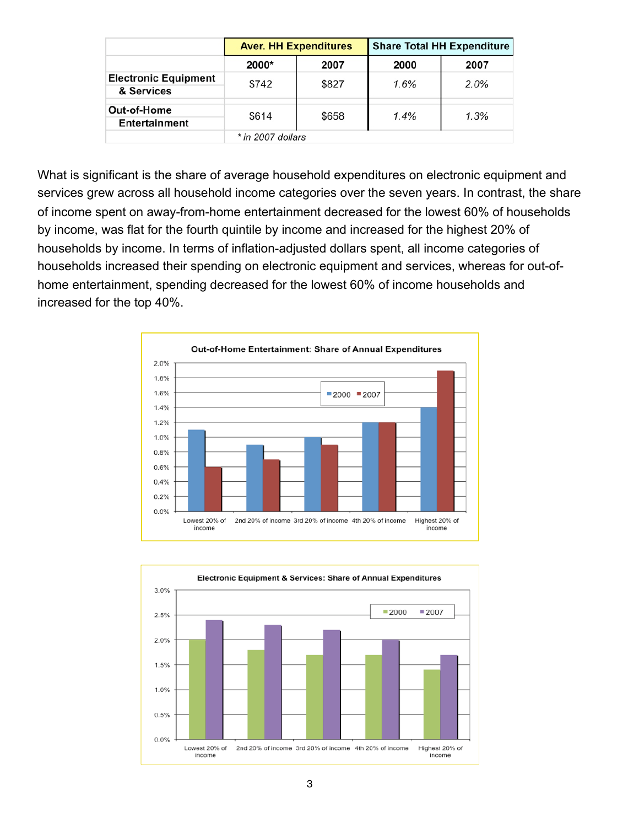|                                           | <b>Aver. HH Expenditures</b> |       | <b>Share Total HH Expenditure</b> |      |  |  |  |
|-------------------------------------------|------------------------------|-------|-----------------------------------|------|--|--|--|
|                                           | 2000*                        | 2007  | 2000                              | 2007 |  |  |  |
| <b>Electronic Equipment</b><br>& Services | \$742                        | \$827 | 1.6%                              | 2.0% |  |  |  |
| Out-of-Home<br>Entertainment              | \$614                        | \$658 | 1.4%                              | 1.3% |  |  |  |
|                                           | $*$ in 2007 dollars          |       |                                   |      |  |  |  |

What is significant is the share of average household expenditures on electronic equipment and services grew across all household income categories over the seven years. In contrast, the share of income spent on away-from-home entertainment decreased for the lowest 60% of households by income, was flat for the fourth quintile by income and increased for the highest 20% of households by income. In terms of inflation-adjusted dollars spent, all income categories of households increased their spending on electronic equipment and services, whereas for out-ofhome entertainment, spending decreased for the lowest 60% of income households and increased for the top 40%.



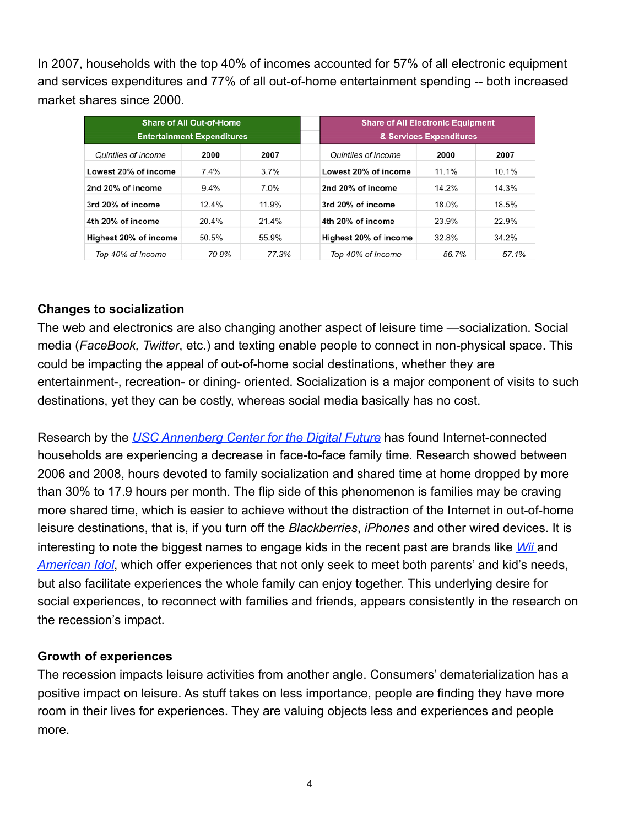In 2007, households with the top 40% of incomes accounted for 57% of all electronic equipment and services expenditures and 77% of all out-of-home entertainment spending -- both increased market shares since 2000.

| <b>Share of All Out-of-Home</b>   |         |         |                         | <b>Share of All Electronic Equipment</b> |       |  |
|-----------------------------------|---------|---------|-------------------------|------------------------------------------|-------|--|
| <b>Entertainment Expenditures</b> |         |         | & Services Expenditures |                                          |       |  |
| Quintiles of income               | 2000    | 2007    | Quintiles of income     | 2000                                     | 2007  |  |
| Lowest 20% of income              | 7.4%    | 3.7%    | Lowest 20% of income    | 11.1%                                    | 10.1% |  |
| 2nd 20% of income                 | $9.4\%$ | $7.0\%$ | 2nd 20% of income       | 14.2%                                    | 14.3% |  |
| 3rd 20% of income                 | 12.4%   | 11.9%   | 3rd 20% of income       | 18.0%                                    | 18.5% |  |
| 4th 20% of income                 | 20.4%   | 21.4%   | 4th 20% of income       | 23.9%                                    | 22.9% |  |
| Highest 20% of income             | 50.5%   | 55.9%   | Highest 20% of income   | 32.8%                                    | 34.2% |  |
| Top 40% of Income                 | 70.9%   | 77.3%   | Top 40% of Income       | 56.7%                                    | 57.1% |  |

#### **Changes to socialization**

The web and electronics are also changing another aspect of leisure time —socialization. Social media (*FaceBook, Twitter*, etc.) and texting enable people to connect in non-physical space. This could be impacting the appeal of out-of-home social destinations, whether they are entertainment-, recreation- or dining- oriented. Socialization is a major component of visits to such destinations, yet they can be costly, whereas social media basically has no cost.

Research by the *[USC Annenberg Center for the Digital Future](http://www.digitalcenter.org/)* has found Internet-connected households are experiencing a decrease in face-to-face family time. Research showed between 2006 and 2008, hours devoted to family socialization and shared time at home dropped by more than 30% to 17.9 hours per month. The flip side of this phenomenon is families may be craving more shared time, which is easier to achieve without the distraction of the Internet in out-of-home leisure destinations, that is, if you turn off the *Blackberries*, *iPhones* and other wired devices. It is interesting to note the biggest names to engage kids in the recent past are brands like *[Wii](http://www.nintendo.com/wii)* and *[American Idol](http://www.americanidol.com/)*, which offer experiences that not only seek to meet both parents' and kid's needs, but also facilitate experiences the whole family can enjoy together. This underlying desire for social experiences, to reconnect with families and friends, appears consistently in the research on the recession's impact.

#### **Growth of experiences**

The recession impacts leisure activities from another angle. Consumers' dematerialization has a positive impact on leisure. As stuff takes on less importance, people are finding they have more room in their lives for experiences. They are valuing objects less and experiences and people more.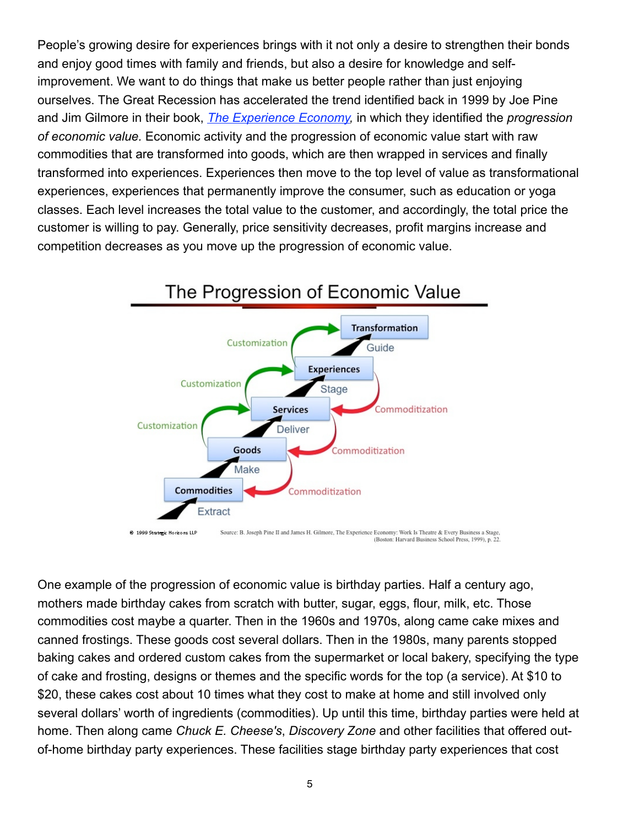People's growing desire for experiences brings with it not only a desire to strengthen their bonds and enjoy good times with family and friends, but also a desire for knowledge and selfimprovement. We want to do things that make us better people rather than just enjoying ourselves. The Great Recession has accelerated the trend identified back in 1999 by Joe Pine and Jim Gilmore in their book, *[The Experience Economy](http://www.amazon.com/Experience-Economy-Theater-Every-Business/dp/0875848192),* in which they identified the *progression of economic value.* Economic activity and the progression of economic value start with raw commodities that are transformed into goods, which are then wrapped in services and finally transformed into experiences. Experiences then move to the top level of value as transformational experiences, experiences that permanently improve the consumer, such as education or yoga classes. Each level increases the total value to the customer, and accordingly, the total price the customer is willing to pay. Generally, price sensitivity decreases, profit margins increase and competition decreases as you move up the progression of economic value.



<sup>(</sup>Boston: Harvard Business School Press, 1999), p. 22.

One example of the progression of economic value is birthday parties. Half a century ago, mothers made birthday cakes from scratch with butter, sugar, eggs, flour, milk, etc. Those commodities cost maybe a quarter. Then in the 1960s and 1970s, along came cake mixes and canned frostings. These goods cost several dollars. Then in the 1980s, many parents stopped baking cakes and ordered custom cakes from the supermarket or local bakery, specifying the type of cake and frosting, designs or themes and the specific words for the top (a service). At \$10 to \$20, these cakes cost about 10 times what they cost to make at home and still involved only several dollars' worth of ingredients (commodities). Up until this time, birthday parties were held at home. Then along came *Chuck E. Cheese's*, *Discovery Zone* and other facilities that offered outof-home birthday party experiences. These facilities stage birthday party experiences that cost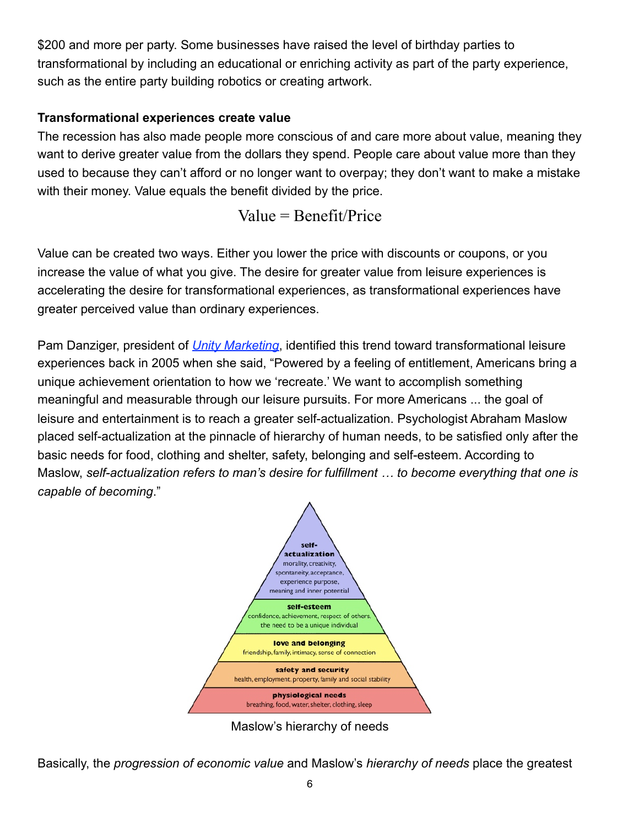\$200 and more per party. Some businesses have raised the level of birthday parties to transformational by including an educational or enriching activity as part of the party experience, such as the entire party building robotics or creating artwork.

## **Transformational experiences create value**

The recession has also made people more conscious of and care more about value, meaning they want to derive greater value from the dollars they spend. People care about value more than they used to because they can't afford or no longer want to overpay; they don't want to make a mistake with their money. Value equals the benefit divided by the price.

Value = Benefit/Price

Value can be created two ways. Either you lower the price with discounts or coupons, or you increase the value of what you give. The desire for greater value from leisure experiences is accelerating the desire for transformational experiences, as transformational experiences have greater perceived value than ordinary experiences.

Pam Danziger, president of *[Unity Marketing](http://www.unitymarketingonline.com/)*, identified this trend toward transformational leisure experiences back in 2005 when she said, "Powered by a feeling of entitlement, Americans bring a unique achievement orientation to how we 'recreate.' We want to accomplish something meaningful and measurable through our leisure pursuits. For more Americans ... the goal of leisure and entertainment is to reach a greater self-actualization. Psychologist Abraham Maslow placed self-actualization at the pinnacle of hierarchy of human needs, to be satisfied only after the basic needs for food, clothing and shelter, safety, belonging and self-esteem. According to Maslow, *self-actualization refers to man's desire for fulfillment … to become everything that one is capable of becoming*."



Maslow's hierarchy of needs

Basically, the *progression of economic value* and Maslow's *hierarchy of needs* place the greatest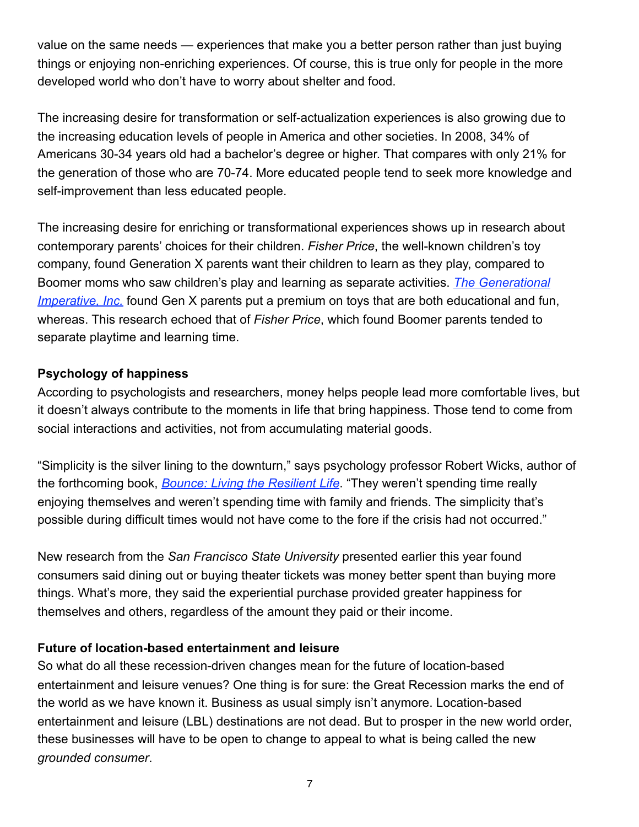value on the same needs — experiences that make you a better person rather than just buying things or enjoying non-enriching experiences. Of course, this is true only for people in the more developed world who don't have to worry about shelter and food.

The increasing desire for transformation or self-actualization experiences is also growing due to the increasing education levels of people in America and other societies. In 2008, 34% of Americans 30-34 years old had a bachelor's degree or higher. That compares with only 21% for the generation of those who are 70-74. More educated people tend to seek more knowledge and self-improvement than less educated people.

The increasing desire for enriching or transformational experiences shows up in research about contemporary parents' choices for their children. *Fisher Price*, the well-known children's toy company, found Generation X parents want their children to learn as they play, compared to Boomer moms who saw children's play and learning as separate activities. *[The Generational](http://www.genimperative.com/)  [Imperative, Inc.](http://www.genimperative.com/)* found Gen X parents put a premium on toys that are both educational and fun, whereas. This research echoed that of *Fisher Price*, which found Boomer parents tended to separate playtime and learning time.

### **Psychology of happiness**

According to psychologists and researchers, money helps people lead more comfortable lives, but it doesn't always contribute to the moments in life that bring happiness. Those tend to come from social interactions and activities, not from accumulating material goods.

"Simplicity is the silver lining to the downturn," says psychology professor Robert Wicks, author of the forthcoming book, *[Bounce: Living the Resilient Life](http://www.amazon.com/Bounce-Resilient-Robert-J-Wicks/dp/0195367685/ref=sr_1_1?ie=UTF8&s=books&qid=1249679033&sr=1-1)*. "They weren't spending time really enjoying themselves and weren't spending time with family and friends. The simplicity that's possible during difficult times would not have come to the fore if the crisis had not occurred."

New research from the *San Francisco State University* presented earlier this year found consumers said dining out or buying theater tickets was money better spent than buying more things. What's more, they said the experiential purchase provided greater happiness for themselves and others, regardless of the amount they paid or their income.

#### **Future of location-based entertainment and leisure**

So what do all these recession-driven changes mean for the future of location-based entertainment and leisure venues? One thing is for sure: the Great Recession marks the end of the world as we have known it. Business as usual simply isn't anymore. Location-based entertainment and leisure (LBL) destinations are not dead. But to prosper in the new world order, these businesses will have to be open to change to appeal to what is being called the new *grounded consumer*.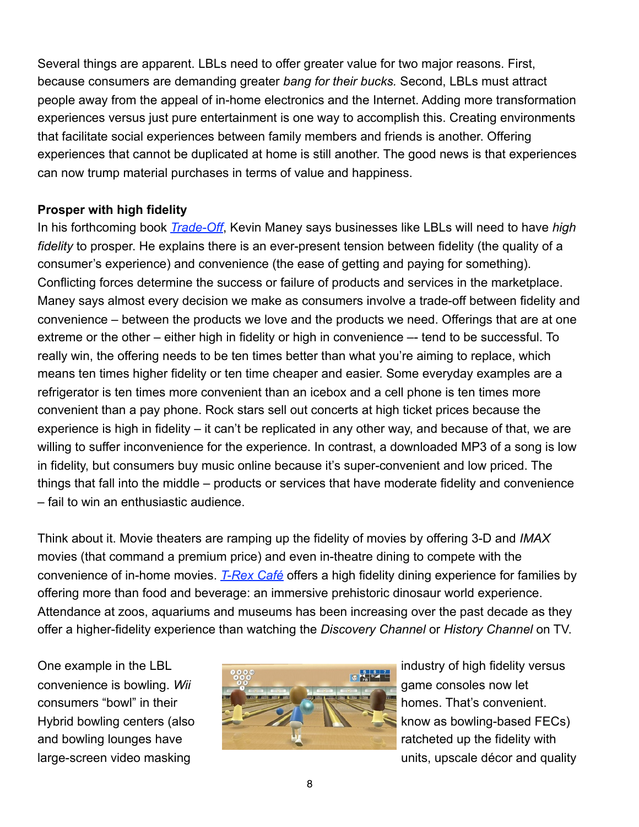Several things are apparent. LBLs need to offer greater value for two major reasons. First, because consumers are demanding greater *bang for their bucks.* Second, LBLs must attract people away from the appeal of in-home electronics and the Internet. Adding more transformation experiences versus just pure entertainment is one way to accomplish this. Creating environments that facilitate social experiences between family members and friends is another. Offering experiences that cannot be duplicated at home is still another. The good news is that experiences can now trump material purchases in terms of value and happiness.

#### **Prosper with high fidelity**

In his forthcoming book *[Trade-Off](http://www.amazon.com/Trade-Off-Some-Things-Catch-Others/dp/038552594X/ref=sr_1_1?ie=UTF8&s=books&qid=1249679064&sr=1-1)*, Kevin Maney says businesses like LBLs will need to have *high fidelity* to prosper. He explains there is an ever-present tension between fidelity (the quality of a consumer's experience) and convenience (the ease of getting and paying for something). Conflicting forces determine the success or failure of products and services in the marketplace. Maney says almost every decision we make as consumers involve a trade-off between fidelity and convenience – between the products we love and the products we need. Offerings that are at one extreme or the other – either high in fidelity or high in convenience – tend to be successful. To really win, the offering needs to be ten times better than what you're aiming to replace, which means ten times higher fidelity or ten time cheaper and easier. Some everyday examples are a refrigerator is ten times more convenient than an icebox and a cell phone is ten times more convenient than a pay phone. Rock stars sell out concerts at high ticket prices because the experience is high in fidelity – it can't be replicated in any other way, and because of that, we are willing to suffer inconvenience for the experience. In contrast, a downloaded MP3 of a song is low in fidelity, but consumers buy music online because it's super-convenient and low priced. The things that fall into the middle – products or services that have moderate fidelity and convenience – fail to win an enthusiastic audience.

Think about it. Movie theaters are ramping up the fidelity of movies by offering 3-D and *IMAX* movies (that command a premium price) and even in-theatre dining to compete with the convenience of in-home movies. *[T-Rex Café](http://www.trexcafe.com/)* offers a high fidelity dining experience for families by offering more than food and beverage: an immersive prehistoric dinosaur world experience. Attendance at zoos, aquariums and museums has been increasing over the past decade as they offer a higher-fidelity experience than watching the *Discovery Channel* or *History Channel* on TV.



large-screen video masking units, upscale décor and quality